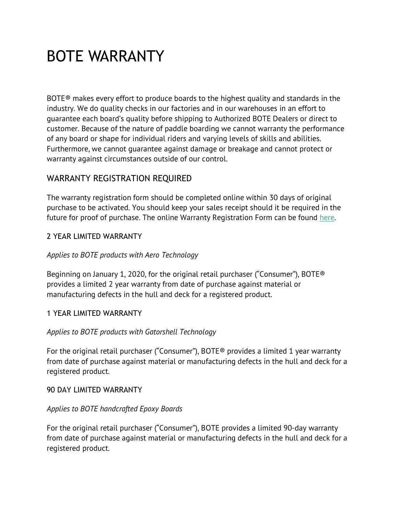# BOTE WARRANTY

BOTE® makes every effort to produce boards to the highest quality and standards in the industry. We do quality checks in our factories and in our warehouses in an effort to guarantee each board's quality before shipping to Authorized BOTE Dealers or direct to customer. Because of the nature of paddle boarding we cannot warranty the performance of any board or shape for individual riders and varying levels of skills and abilities. Furthermore, we cannot guarantee against damage or breakage and cannot protect or warranty against circumstances outside of our control.

# WARRANTY REGISTRATION REQUIRED

The warranty registration form should be completed online within 30 days of original purchase to be activated. You should keep your sales receipt should it be required in the future for proof of purchase. The online Warranty Registration Form can be found here.

## 2 YEAR LIMITED WARRANTY

#### *Applies to BOTE products with Aero Technology*

Beginning on January 1, 2020, for the original retail purchaser ("Consumer"), BOTE® provides a limited 2 year warranty from date of purchase against material or manufacturing defects in the hull and deck for a registered product.

#### 1 YEAR LIMITED WARRANTY

#### *Applies to BOTE products with Gatorshell Technology*

For the original retail purchaser ("Consumer"), BOTE® provides a limited 1 year warranty from date of purchase against material or manufacturing defects in the hull and deck for a registered product.

#### 90 DAY LIMITED WARRANTY

#### *Applies to BOTE handcrafted Epoxy Boards*

For the original retail purchaser ("Consumer"), BOTE provides a limited 90-day warranty from date of purchase against material or manufacturing defects in the hull and deck for a registered product.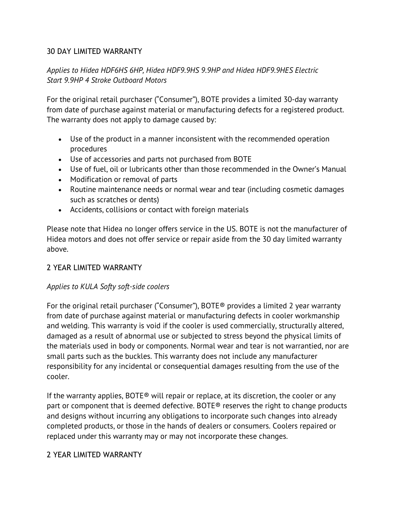#### 30 DAY LIMITED WARRANTY

# *Applies to Hidea HDF6HS 6HP, Hidea HDF9.9HS 9.9HP and Hidea HDF9.9HES Electric Start 9.9HP 4 Stroke Outboard Motors*

For the original retail purchaser ("Consumer"), BOTE provides a limited 30-day warranty from date of purchase against material or manufacturing defects for a registered product. The warranty does not apply to damage caused by:

- Use of the product in a manner inconsistent with the recommended operation procedures
- Use of accessories and parts not purchased from BOTE
- Use of fuel, oil or lubricants other than those recommended in the Owner's Manual
- Modification or removal of parts
- Routine maintenance needs or normal wear and tear (including cosmetic damages such as scratches or dents)
- Accidents, collisions or contact with foreign materials

Please note that Hidea no longer offers service in the US. BOTE is not the manufacturer of Hidea motors and does not offer service or repair aside from the 30 day limited warranty above.

#### 2 YEAR LIMITED WARRANTY

#### *Applies to KULA Softy soft-side coolers*

For the original retail purchaser ("Consumer"), BOTE® provides a limited 2 year warranty from date of purchase against material or manufacturing defects in cooler workmanship and welding. This warranty is void if the cooler is used commercially, structurally altered, damaged as a result of abnormal use or subjected to stress beyond the physical limits of the materials used in body or components. Normal wear and tear is not warrantied, nor are small parts such as the buckles. This warranty does not include any manufacturer responsibility for any incidental or consequential damages resulting from the use of the cooler.

If the warranty applies, BOTE® will repair or replace, at its discretion, the cooler or any part or component that is deemed defective. BOTE® reserves the right to change products and designs without incurring any obligations to incorporate such changes into already completed products, or those in the hands of dealers or consumers. Coolers repaired or replaced under this warranty may or may not incorporate these changes.

#### 2 YEAR LIMITED WARRANTY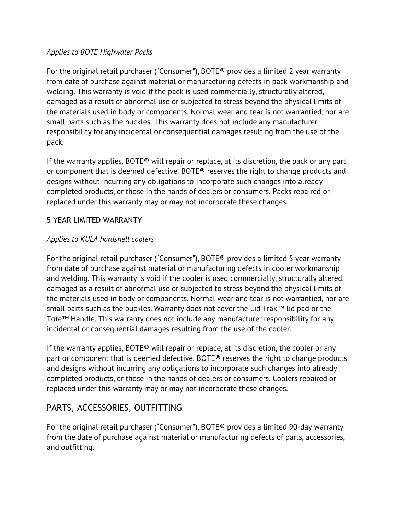#### *Applies to BOTE Highwater Packs*

For the original retail purchaser ("Consumer"), BOTE® provides a limited 2 year warranty from date of purchase against material or manufacturing defects in pack workmanship and welding. This warranty is void if the pack is used commercially, structurally altered, damaged as a result of abnormal use or subjected to stress beyond the physical limits of the materials used in body or components. Normal wear and tear is not warrantied, nor are small parts such as the buckles. This warranty does not include any manufacturer responsibility for any incidental or consequential damages resulting from the use of the pack.

If the warranty applies,  $BOTE<sup>®</sup>$  will repair or replace, at its discretion, the pack or any part or component that is deemed defective. BOTE® reserves the right to change products and designs without incurring any obligations to incorporate such changes into already completed products, or those in the hands of dealers or consumers. Packs repaired or replaced under this warranty may or may not incorporate these changes.

## 5 YEAR LIMITED WARRANTY

## *Applies to KULA hardshell coolers*

For the original retail purchaser ("Consumer"), BOTE® provides a limited 5 year warranty from date of purchase against material or manufacturing defects in cooler workmanship and welding. This warranty is void if the cooler is used commercially, structurally altered, damaged as a result of abnormal use or subjected to stress beyond the physical limits of the materials used in body or components. Normal wear and tear is not warrantied, nor are small parts such as the buckles. Warranty does not cover the Lid Trax™ lid pad or the Tote™ Handle. This warranty does not include any manufacturer responsibility for any incidental or consequential damages resulting from the use of the cooler.

If the warranty applies, BOTE<sup>®</sup> will repair or replace, at its discretion, the cooler or any part or component that is deemed defective. BOTE® reserves the right to change products and designs without incurring any obligations to incorporate such changes into already completed products, or those in the hands of dealers or consumers. Coolers repaired or replaced under this warranty may or may not incorporate these changes.

# PARTS, ACCESSORIES, OUTFITTING

For the original retail purchaser ("Consumer"), BOTE® provides a limited 90-day warranty from the date of purchase against material or manufacturing defects of parts, accessories, and outfitting.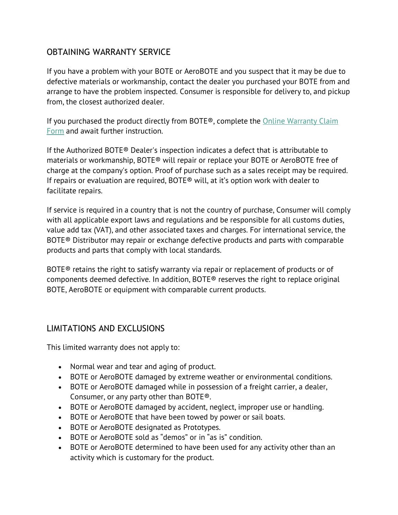# OBTAINING WARRANTY SERVICE

If you have a problem with your BOTE or AeroBOTE and you suspect that it may be due to defective materials or workmanship, contact the dealer you purchased your BOTE from and arrange to have the problem inspected. Consumer is responsible for delivery to, and pickup from, the closest authorized dealer.

If you purchased the product directly from BOTE®, complete the Online Warranty Claim Form and await further instruction.

If the Authorized BOTE® Dealer's inspection indicates a defect that is attributable to materials or workmanship, BOTE® will repair or replace your BOTE or AeroBOTE free of charge at the company's option. Proof of purchase such as a sales receipt may be required. If repairs or evaluation are required, BOTE® will, at it's option work with dealer to facilitate repairs.

If service is required in a country that is not the country of purchase, Consumer will comply with all applicable export laws and regulations and be responsible for all customs duties, value add tax (VAT), and other associated taxes and charges. For international service, the BOTE® Distributor may repair or exchange defective products and parts with comparable products and parts that comply with local standards.

BOTE® retains the right to satisfy warranty via repair or replacement of products or of components deemed defective. In addition, BOTE® reserves the right to replace original BOTE, AeroBOTE or equipment with comparable current products.

# LIMITATIONS AND EXCLUSIONS

This limited warranty does not apply to:

- Normal wear and tear and aging of product.
- BOTE or AeroBOTE damaged by extreme weather or environmental conditions.
- BOTE or AeroBOTE damaged while in possession of a freight carrier, a dealer, Consumer, or any party other than BOTE®.
- BOTE or AeroBOTE damaged by accident, neglect, improper use or handling.
- BOTE or AeroBOTE that have been towed by power or sail boats.
- BOTE or AeroBOTE designated as Prototypes.
- BOTE or AeroBOTE sold as "demos" or in "as is" condition.
- BOTE or AeroBOTE determined to have been used for any activity other than an activity which is customary for the product.